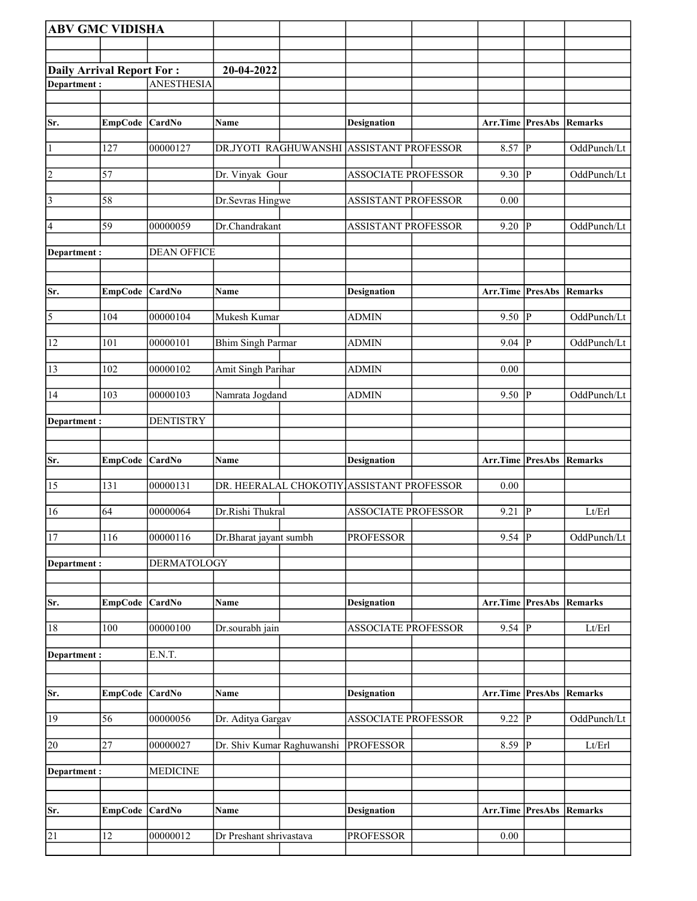| <b>ABV GMC VIDISHA</b>    |                |                    |                            |                            |                           |                |                |
|---------------------------|----------------|--------------------|----------------------------|----------------------------|---------------------------|----------------|----------------|
|                           |                |                    |                            |                            |                           |                |                |
| Daily Arrival Report For: |                |                    | 20-04-2022                 |                            |                           |                |                |
| Department:               |                | <b>ANESTHESIA</b>  |                            |                            |                           |                |                |
|                           |                |                    |                            |                            |                           |                |                |
| Sr.                       | EmpCode CardNo |                    | <b>Name</b>                | <b>Designation</b>         | Arr.Time PresAbs          |                | Remarks        |
| $\mathbf{1}$              | 127            | 00000127           | DR.JYOTI RAGHUWANSHI       | <b>ASSISTANT PROFESSOR</b> | 8.57                      | P              | OddPunch/Lt    |
| $ 2\rangle$               | 57             |                    | Dr. Vinyak Gour            | <b>ASSOCIATE PROFESSOR</b> | 9.30   $P$                |                | OddPunch/Lt    |
| $\vert 3 \vert$           | 58             |                    | Dr.Sevras Hingwe           | <b>ASSISTANT PROFESSOR</b> | 0.00                      |                |                |
| $\vert 4 \vert$           | 59             | 00000059           | Dr.Chandrakant             | ASSISTANT PROFESSOR        | 9.20                      | lР             | OddPunch/Lt    |
| Department:               |                | <b>DEAN OFFICE</b> |                            |                            |                           |                |                |
| Sr.                       | <b>EmpCode</b> | CardNo             | Name                       | <b>Designation</b>         | Arr.Time PresAbs          |                | <b>Remarks</b> |
| $\overline{5}$            | 104            | 00000104           | Mukesh Kumar               | <b>ADMIN</b>               | $9.50$ P                  |                | OddPunch/Lt    |
| 12                        | 101            | 00000101           | <b>Bhim Singh Parmar</b>   | <b>ADMIN</b>               | 9.04   P                  |                | OddPunch/Lt    |
| 13                        | 102            | 00000102           | Amit Singh Parihar         | <b>ADMIN</b>               | 0.00                      |                |                |
| 14                        | 103            | 00000103           | Namrata Jogdand            | <b>ADMIN</b>               | 9.50                      | P              | OddPunch/Lt    |
| Department :              |                | <b>DENTISTRY</b>   |                            |                            |                           |                |                |
| Sr.                       | <b>EmpCode</b> | <b>CardNo</b>      | <b>Name</b>                | <b>Designation</b>         | Arr.Time PresAbs          |                | Remarks        |
|                           |                |                    |                            |                            |                           |                |                |
| 15                        | 131            | 00000131           | DR. HEERALAL CHOKOTIY.     | <b>ASSISTANT PROFESSOR</b> | 0.00                      |                |                |
| 16                        | 64             | 00000064           | Dr.Rishi Thukral           | <b>ASSOCIATE PROFESSOR</b> | 9.21                      | $\overline{P}$ | Lt/Erl         |
| 17                        | 116            | 00000116           | Dr.Bharat jayant sumbh     | <b>PROFESSOR</b>           | $9.54$ P                  |                | OddPunch/Lt    |
| Department :              |                | DERMATOLOGY        |                            |                            |                           |                |                |
| Sr.                       | <b>EmpCode</b> | CardNo             | Name                       | <b>Designation</b>         | <b>Arr.Time PresAbs</b>   |                | <b>Remarks</b> |
| 18                        | 100            | 00000100           | Dr.sourabh jain            | <b>ASSOCIATE PROFESSOR</b> | 9.54 $\vert \overline{P}$ |                | Lt/Erl         |
| Department:               |                | E.N.T.             |                            |                            |                           |                |                |
|                           |                |                    |                            |                            |                           |                |                |
| Sr.                       | EmpCode CardNo |                    | Name                       | <b>Designation</b>         | Arr.Time PresAbs          |                | <b>Remarks</b> |
| 19                        | 56             | 00000056           | Dr. Aditya Gargav          | ASSOCIATE PROFESSOR        | $9.22 \overline{P}$       |                | OddPunch/Lt    |
| 20                        | 27             | 00000027           | Dr. Shiv Kumar Raghuwanshi | <b>PROFESSOR</b>           | $8.59$ P                  |                | Lt/Erl         |
| Department :              |                | <b>MEDICINE</b>    |                            |                            |                           |                |                |
|                           |                |                    |                            |                            |                           |                |                |
| Sr.                       | <b>EmpCode</b> | CardNo             | Name                       | <b>Designation</b>         | Arr.Time PresAbs          |                | Remarks        |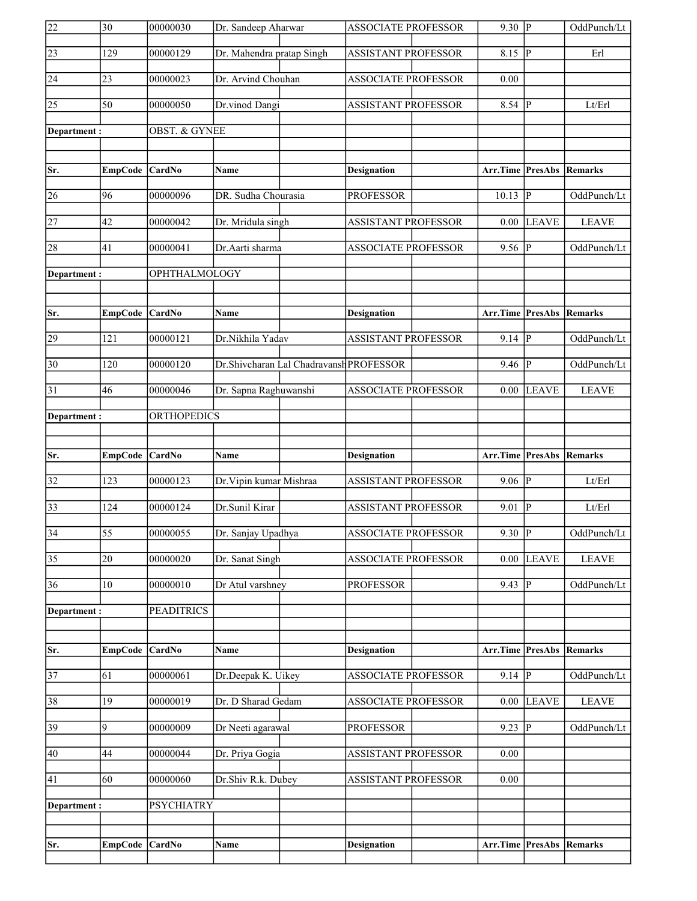| $\overline{22}$ | $\overline{30}$ | 00000030                 | Dr. Sandeep Aharwar                     | <b>ASSOCIATE PROFESSOR</b> | $9.30$ P                        |              | OddPunch/Lt    |
|-----------------|-----------------|--------------------------|-----------------------------------------|----------------------------|---------------------------------|--------------|----------------|
| 23              | 129             | 00000129                 | Dr. Mahendra pratap Singh               | <b>ASSISTANT PROFESSOR</b> | 8.15                            | P            | Erl            |
| 24              | 23              | 00000023                 | Dr. Arvind Chouhan                      | <b>ASSOCIATE PROFESSOR</b> | 0.00                            |              |                |
| 25              | 50              | 00000050                 | Dr.vinod Dangi                          | <b>ASSISTANT PROFESSOR</b> | $8.54$ P                        |              | Lt/Erl         |
| Department :    |                 | <b>OBST. &amp; GYNEE</b> |                                         |                            |                                 |              |                |
|                 |                 |                          |                                         |                            |                                 |              |                |
| Sr.             | <b>EmpCode</b>  | <b>CardNo</b>            | Name                                    | <b>Designation</b>         | Arr.Time PresAbs                |              | <b>Remarks</b> |
| 26              | 96              | 00000096                 | DR. Sudha Chourasia                     | <b>PROFESSOR</b>           | 10.13                           | P            | OddPunch/Lt    |
| 27              | 42              | 00000042                 | Dr. Mridula singh                       | <b>ASSISTANT PROFESSOR</b> | 0.00                            | <b>LEAVE</b> | <b>LEAVE</b>   |
| 28              | 41              | 00000041                 | Dr.Aarti sharma                         | <b>ASSOCIATE PROFESSOR</b> | 9.56 $ P $                      |              | OddPunch/Lt    |
| Department:     |                 | OPHTHALMOLOGY            |                                         |                            |                                 |              |                |
|                 |                 |                          |                                         |                            |                                 |              |                |
| Sr.             | EmpCode CardNo  |                          | Name                                    | Designation                | Arr.Time PresAbs                |              | Remarks        |
| 29              | 121             | 00000121                 | Dr.Nikhila Yadav                        | <b>ASSISTANT PROFESSOR</b> | $9.14$ P                        |              | OddPunch/Lt    |
| 30              | 120             | 00000120                 | Dr.Shivcharan Lal Chadravansh PROFESSOR |                            | 9.46                            | P            | OddPunch/Lt    |
| 31              | 46              | 00000046                 | Dr. Sapna Raghuwanshi                   | <b>ASSOCIATE PROFESSOR</b> | 0.00                            | <b>LEAVE</b> | <b>LEAVE</b>   |
| Department:     |                 | <b>ORTHOPEDICS</b>       |                                         |                            |                                 |              |                |
|                 |                 |                          |                                         |                            |                                 |              |                |
|                 |                 |                          |                                         |                            |                                 |              |                |
| Sr.             | EmpCode CardNo  |                          | Name                                    | <b>Designation</b>         | <b>Arr.Time PresAbs Remarks</b> |              |                |
| 32              | 123             | 00000123                 | Dr. Vipin kumar Mishraa                 | <b>ASSISTANT PROFESSOR</b> | $9.06$ P                        |              | Lt/Erl         |
| 33              | 124             | 00000124                 | Dr.Sunil Kirar                          | <b>ASSISTANT PROFESSOR</b> | 9.01                            | P            | Lt/Erl         |
| 34              | $\overline{55}$ | 00000055                 | Dr. Sanjay Upadhya                      | <b>ASSOCIATE PROFESSOR</b> | $9.30$ P                        |              | OddPunch/Lt    |
| $\overline{35}$ | 20              | 00000020                 | Dr. Sanat Singh                         | <b>ASSOCIATE PROFESSOR</b> | 0.00                            | <b>LEAVE</b> | <b>LEAVE</b>   |
| 36              | 10              | 00000010                 | Dr Atul varshney                        | <b>PROFESSOR</b>           | 9.43                            | P            | OddPunch/Lt    |
| Department:     |                 | <b>PEADITRICS</b>        |                                         |                            |                                 |              |                |
|                 |                 |                          |                                         |                            |                                 |              |                |
| Sr.             | EmpCode CardNo  |                          | Name                                    | <b>Designation</b>         | <b>Arr.Time PresAbs Remarks</b> |              |                |
| 37              | 61              | 00000061                 | Dr.Deepak K. Uikey                      | ASSOCIATE PROFESSOR        | $9.14 \overline{P}$             |              | OddPunch/Lt    |
| 38              | 19              | 00000019                 | Dr. D Sharad Gedam                      | ASSOCIATE PROFESSOR        | 0.00                            | <b>LEAVE</b> | <b>LEAVE</b>   |
| 39              | 9               | 00000009                 | Dr Neeti agarawal                       | <b>PROFESSOR</b>           | 9.23  P                         |              | OddPunch/Lt    |
| 40              | 44              | 00000044                 | Dr. Priya Gogia                         | <b>ASSISTANT PROFESSOR</b> | 0.00                            |              |                |
| 41              | 60              | 00000060                 | Dr.Shiv R.k. Dubey                      | <b>ASSISTANT PROFESSOR</b> | 0.00                            |              |                |
| Department :    |                 | <b>PSYCHIATRY</b>        |                                         |                            |                                 |              |                |
|                 |                 |                          |                                         |                            |                                 |              |                |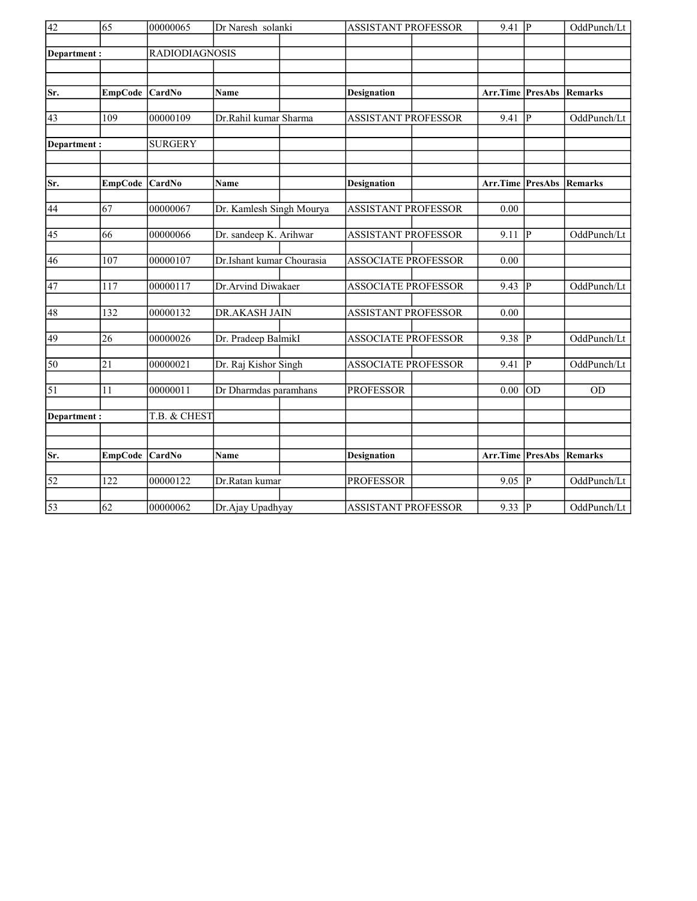| $\overline{42}$    | 65             | 00000065              | Dr Naresh solanki         |  | <b>ASSISTANT PROFESSOR</b> |  | $9.41$ P                |                | OddPunch/Lt |
|--------------------|----------------|-----------------------|---------------------------|--|----------------------------|--|-------------------------|----------------|-------------|
| Department:        |                | <b>RADIODIAGNOSIS</b> |                           |  |                            |  |                         |                |             |
|                    |                |                       |                           |  |                            |  |                         |                |             |
| Sr.                | <b>EmpCode</b> | CardNo                | Name                      |  | <b>Designation</b>         |  | <b>Arr.Time PresAbs</b> |                | Remarks     |
| 43                 | 109            | 00000109              | Dr.Rahil kumar Sharma     |  | <b>ASSISTANT PROFESSOR</b> |  | 9.41                    | $\overline{P}$ | OddPunch/Lt |
| <b>Department:</b> |                | <b>SURGERY</b>        |                           |  |                            |  |                         |                |             |
| Sr.                | EmpCode CardNo |                       | Name                      |  | <b>Designation</b>         |  | Arr.Time PresAbs        |                | Remarks     |
| 44                 | 67             | 00000067              | Dr. Kamlesh Singh Mourya  |  | <b>ASSISTANT PROFESSOR</b> |  | 0.00                    |                |             |
| 45                 | 66             | 00000066              | Dr. sandeep K. Arihwar    |  | <b>ASSISTANT PROFESSOR</b> |  | $9.11$ P                |                | OddPunch/Lt |
| 46                 | 107            | 00000107              | Dr.Ishant kumar Chourasia |  | <b>ASSOCIATE PROFESSOR</b> |  | 0.00                    |                |             |
| 47                 | 117            | 00000117              | Dr.Arvind Diwakaer        |  | <b>ASSOCIATE PROFESSOR</b> |  | 9.43  P                 |                | OddPunch/Lt |
| 48                 | 132            | 00000132              | DR.AKASH JAIN             |  | <b>ASSISTANT PROFESSOR</b> |  | 0.00                    |                |             |
| 49                 | 26             | 00000026              | Dr. Pradeep BalmikI       |  | <b>ASSOCIATE PROFESSOR</b> |  | 9.38 P                  |                | OddPunch/Lt |
| 50                 | 21             | 00000021              | Dr. Raj Kishor Singh      |  | <b>ASSOCIATE PROFESSOR</b> |  | 9.41                    | P              | OddPunch/Lt |
| $\overline{51}$    | 11             | 00000011              | Dr Dharmdas paramhans     |  | <b>PROFESSOR</b>           |  | 0.00                    | lod            | <b>OD</b>   |
| Department:        |                | T.B. & CHEST          |                           |  |                            |  |                         |                |             |
| Sr.                | EmpCode CardNo |                       | Name                      |  | <b>Designation</b>         |  | Arr.Time PresAbs        |                | Remarks     |
|                    |                |                       |                           |  |                            |  |                         |                |             |
| $\overline{52}$    | 122            | 00000122              | Dr.Ratan kumar            |  | <b>PROFESSOR</b>           |  | $9.05$ P                |                | OddPunch/Lt |
| $\overline{53}$    | 62             | 00000062              | Dr.Ajay Upadhyay          |  | <b>ASSISTANT PROFESSOR</b> |  | $9.33$ P                |                | OddPunch/Lt |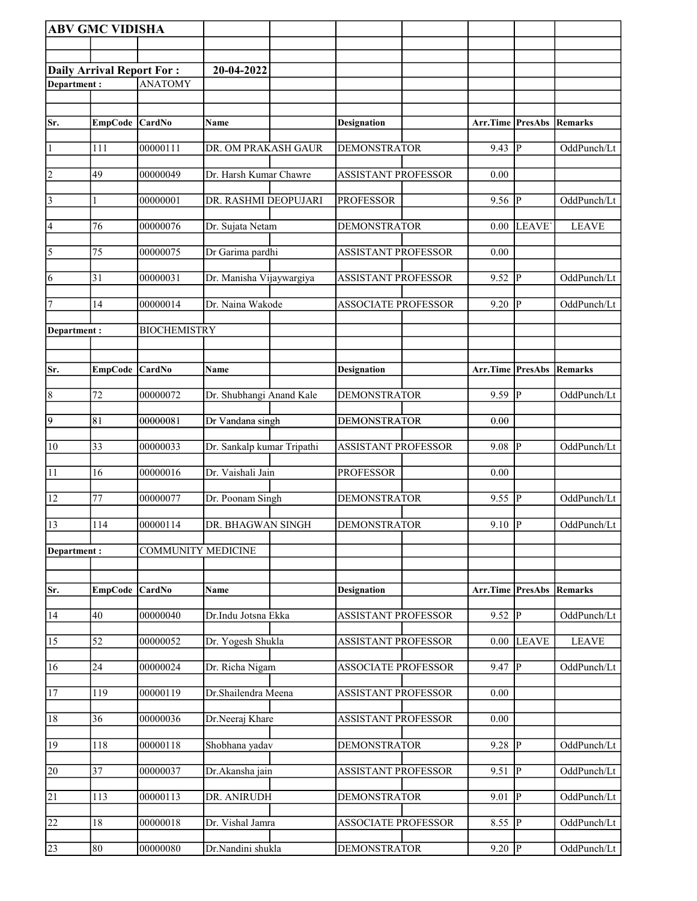|                 | <b>ABV GMC VIDISHA</b>           |                           |                            |                            |                         |                |                |
|-----------------|----------------------------------|---------------------------|----------------------------|----------------------------|-------------------------|----------------|----------------|
|                 |                                  |                           |                            |                            |                         |                |                |
|                 | <b>Daily Arrival Report For:</b> |                           | 20-04-2022                 |                            |                         |                |                |
| Department:     |                                  | <b>ANATOMY</b>            |                            |                            |                         |                |                |
|                 |                                  |                           |                            |                            |                         |                |                |
| Sr.             | <b>EmpCode</b>                   | <b>CardNo</b>             | Name                       | <b>Designation</b>         | Arr.Time PresAbs        |                | <b>Remarks</b> |
| $\vert$ 1       | 111                              | 00000111                  | DR. OM PRAKASH GAUR        | <b>DEMONSTRATOR</b>        | 9.43                    | P              | OddPunch/Lt    |
| $\overline{2}$  | 49                               | 00000049                  | Dr. Harsh Kumar Chawre     | <b>ASSISTANT PROFESSOR</b> | 0.00                    |                |                |
| 3               | 1                                | 00000001                  | DR. RASHMI DEOPUJARI       | <b>PROFESSOR</b>           | 9.56  P                 |                | OddPunch/Lt    |
| $\vert 4$       | 76                               | 00000076                  | Dr. Sujata Netam           | <b>DEMONSTRATOR</b>        | $0.00\,$                | LEAVE'         | <b>LEAVE</b>   |
| $\overline{5}$  | 75                               | 00000075                  | Dr Garima pardhi           | <b>ASSISTANT PROFESSOR</b> | 0.00                    |                |                |
| 6               | 31                               | 00000031                  | Dr. Manisha Vijaywargiya   | <b>ASSISTANT PROFESSOR</b> | 9.52                    | <sup> </sup> P | OddPunch/Lt    |
| 7               | 14                               | 00000014                  | Dr. Naina Wakode           | <b>ASSOCIATE PROFESSOR</b> | 9.20                    | P              | OddPunch/Lt    |
|                 |                                  | <b>BIOCHEMISTRY</b>       |                            |                            |                         |                |                |
| Department:     |                                  |                           |                            |                            |                         |                |                |
|                 |                                  |                           |                            |                            |                         |                |                |
| Sr.             | <b>EmpCode</b>                   | CardNo                    | Name                       | <b>Designation</b>         | <b>Arr.Time PresAbs</b> |                | <b>Remarks</b> |
| 8               | 72                               | 00000072                  | Dr. Shubhangi Anand Kale   | <b>DEMONSTRATOR</b>        | 9.59                    | IР             | OddPunch/Lt    |
| $\overline{9}$  | 81                               | 00000081                  | Dr Vandana singh           | <b>DEMONSTRATOR</b>        | 0.00                    |                |                |
| 10              | 33                               | 00000033                  | Dr. Sankalp kumar Tripathi | <b>ASSISTANT PROFESSOR</b> | 9.08                    | lР             | OddPunch/Lt    |
| 11              | 16                               | 00000016                  | Dr. Vaishali Jain          | <b>PROFESSOR</b>           | 0.00                    |                |                |
| $\sqrt{12}$     | 77                               | 00000077                  | Dr. Poonam Singh           | <b>DEMONSTRATOR</b>        | 9.55                    | P              | OddPunch/Lt    |
| 13              | 114                              | 00000114                  | DR. BHAGWAN SINGH          | <b>DEMONSTRATOR</b>        | 9.10 $  \overline{P}$   |                | OddPunch/Lt    |
| Department:     |                                  | <b>COMMUNITY MEDICINE</b> |                            |                            |                         |                |                |
|                 |                                  |                           |                            |                            |                         |                |                |
| Sr.             | EmpCode CardNo                   |                           | Name                       | <b>Designation</b>         | Arr.Time PresAbs        |                | Remarks        |
| 14              | 40                               | 00000040                  | Dr.Indu Jotsna Ekka        | <b>ASSISTANT PROFESSOR</b> | $9.52$ P                |                | OddPunch/Lt    |
| 15              | 52                               | 00000052                  | Dr. Yogesh Shukla          | <b>ASSISTANT PROFESSOR</b> | 0.00                    | <b>LEAVE</b>   | <b>LEAVE</b>   |
| 16              | 24                               | 00000024                  | Dr. Richa Nigam            | <b>ASSOCIATE PROFESSOR</b> | 9.47                    | $\overline{P}$ | OddPunch/Lt    |
| <sup>17</sup>   | 119                              | 00000119                  | Dr.Shailendra Meena        | <b>ASSISTANT PROFESSOR</b> | 0.00                    |                |                |
| 18              | 36                               | 00000036                  | Dr.Neeraj Khare            | <b>ASSISTANT PROFESSOR</b> | 0.00                    |                |                |
| 19              | 118                              | 00000118                  | Shobhana yadav             | <b>DEMONSTRATOR</b>        | $9.28$ P                |                | OddPunch/Lt    |
| 20              | $\overline{37}$                  | 00000037                  | Dr.Akansha jain            | <b>ASSISTANT PROFESSOR</b> | 9.51                    | P              | OddPunch/Lt    |
| $\overline{21}$ | 113                              | 00000113                  | DR. ANIRUDH                | <b>DEMONSTRATOR</b>        | 9.01                    | <sup> </sup> P | OddPunch/Lt    |
| 22              | 18                               | 00000018                  | Dr. Vishal Jamra           | <b>ASSOCIATE PROFESSOR</b> | 8.55                    | lР             | OddPunch/Lt    |
| 23              | 80                               | 00000080                  | Dr.Nandini shukla          | <b>DEMONSTRATOR</b>        | $9.20$ P                |                | OddPunch/Lt    |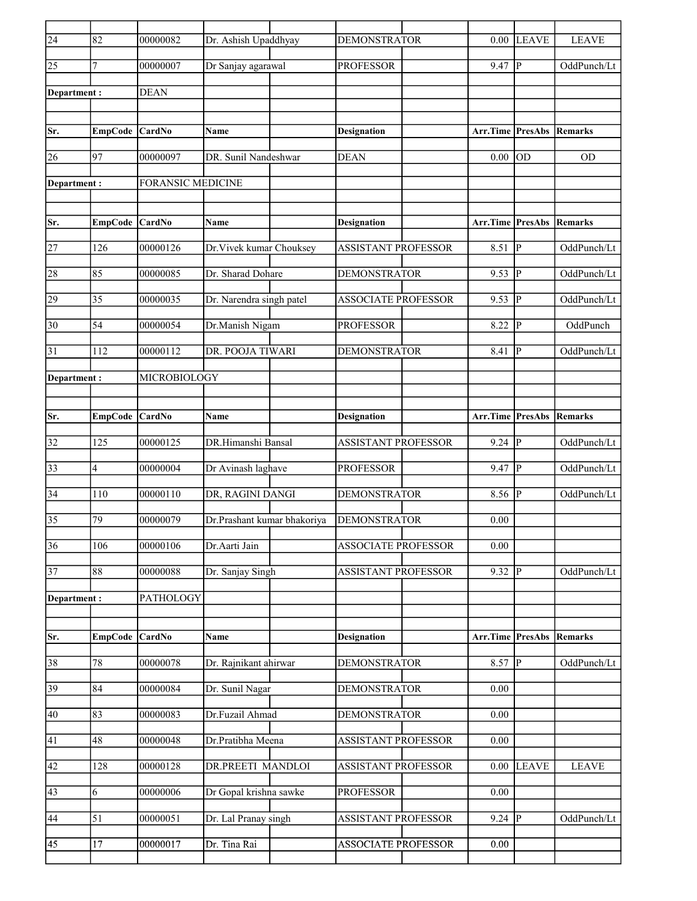| $\overline{24}$ | 82                      | 00000082                 | Dr. Ashish Upaddhyay        | <b>DEMONSTRATOR</b>        | 0.00                            | <b>LEAVE</b>   | <b>LEAVE</b>   |
|-----------------|-------------------------|--------------------------|-----------------------------|----------------------------|---------------------------------|----------------|----------------|
| $\overline{25}$ | 7                       | 00000007                 | Dr Sanjay agarawal          | <b>PROFESSOR</b>           | 9.47                            | P              | OddPunch/Lt    |
| Department:     |                         | <b>DEAN</b>              |                             |                            |                                 |                |                |
|                 |                         |                          |                             |                            |                                 |                |                |
| Sr.             | EmpCode CardNo          |                          | Name                        | <b>Designation</b>         | <b>Arr.Time PresAbs Remarks</b> |                |                |
| 26              | 97                      | 00000097                 | DR. Sunil Nandeshwar        | <b>DEAN</b>                | 0.00                            | lod            | <b>OD</b>      |
| Department:     |                         | <b>FORANSIC MEDICINE</b> |                             |                            |                                 |                |                |
|                 |                         |                          |                             |                            |                                 |                |                |
| Sr.             | <b>EmpCode</b>          | CardNo                   | Name                        | <b>Designation</b>         | <b>Arr.Time PresAbs</b>         |                | <b>Remarks</b> |
| 27              | 126                     | 00000126                 | Dr. Vivek kumar Chouksey    | <b>ASSISTANT PROFESSOR</b> | 8.51                            | lР             | OddPunch/Lt    |
| 28              | 85                      | 00000085                 | Dr. Sharad Dohare           | <b>DEMONSTRATOR</b>        | 9.53                            | P              | OddPunch/Lt    |
| 29              | $\overline{35}$         | 00000035                 | Dr. Narendra singh patel    | <b>ASSOCIATE PROFESSOR</b> | 9.53                            | lР             | OddPunch/Lt    |
| $\overline{30}$ | 54                      | 00000054                 | Dr.Manish Nigam             | <b>PROFESSOR</b>           | 8.22                            | IР             | OddPunch       |
| 31              | 112                     | 00000112                 | DR. POOJA TIWARI            | <b>DEMONSTRATOR</b>        | 8.41                            | P              | OddPunch/Lt    |
| Department :    |                         | MICROBIOLOGY             |                             |                            |                                 |                |                |
|                 |                         |                          |                             |                            |                                 |                |                |
| Sr.             | EmpCode CardNo          |                          | Name                        | <b>Designation</b>         | Arr.Time                        | <b>PresAbs</b> | Remarks        |
| 32              | 125                     | 00000125                 | DR.Himanshi Bansal          | <b>ASSISTANT PROFESSOR</b> | 9.24                            | <sup> p</sup>  | OddPunch/Lt    |
| 33              | $\overline{\mathbf{4}}$ | 00000004                 | Dr Avinash laghave          | <b>PROFESSOR</b>           | 9.47                            | <sup>1</sup> P | OddPunch/Lt    |
| $\overline{34}$ | 110                     | $000001\overline{10}$    | DR, RAGINI DANGI            | <b>DEMONSTRATOR</b>        | 8.56                            | lР             | OddPunch/Lt    |
| $\overline{35}$ | 79                      | 00000079                 | Dr.Prashant kumar bhakoriya | <b>DEMONSTRATOR</b>        | 0.00                            |                |                |
| $\overline{36}$ | 106                     | 00000106                 | Dr.Aarti Jain               | <b>ASSOCIATE PROFESSOR</b> | 0.00                            |                |                |
| $\overline{37}$ | 88                      | 00000088                 | Dr. Sanjay Singh            | <b>ASSISTANT PROFESSOR</b> | 9.32   P                        |                | OddPunch/Lt    |
| Department:     |                         | PATHOLOGY                |                             |                            |                                 |                |                |
|                 |                         |                          |                             |                            |                                 |                |                |
| Sr.             | EmpCode CardNo          |                          | Name                        | <b>Designation</b>         | Arr.Time PresAbs                |                | <b>Remarks</b> |
| 38              | 78                      | 00000078                 | Dr. Rajnikant ahirwar       | <b>DEMONSTRATOR</b>        | $8.57$ P                        |                | OddPunch/Lt    |
| 39              | 84                      | 00000084                 | Dr. Sunil Nagar             | <b>DEMONSTRATOR</b>        | 0.00                            |                |                |
| 40              | 83                      | 00000083                 | Dr.Fuzail Ahmad             | <b>DEMONSTRATOR</b>        | 0.00                            |                |                |
| 41              | 48                      | 00000048                 | Dr.Pratibha Meena           | <b>ASSISTANT PROFESSOR</b> | 0.00                            |                |                |
| 42              | 128                     | 00000128                 | DR.PREETI MANDLOI           | <b>ASSISTANT PROFESSOR</b> | $0.00\,$                        | <b>LEAVE</b>   | <b>LEAVE</b>   |
| 43              | 6                       | 00000006                 | Dr Gopal krishna sawke      | <b>PROFESSOR</b>           | 0.00                            |                |                |
| 44              | 51                      | 00000051                 | Dr. Lal Pranay singh        | <b>ASSISTANT PROFESSOR</b> | $9.24$ P                        |                | OddPunch/Lt    |
| $\overline{45}$ | 17                      | 00000017                 | Dr. Tina Rai                | <b>ASSOCIATE PROFESSOR</b> | 0.00                            |                |                |
|                 |                         |                          |                             |                            |                                 |                |                |